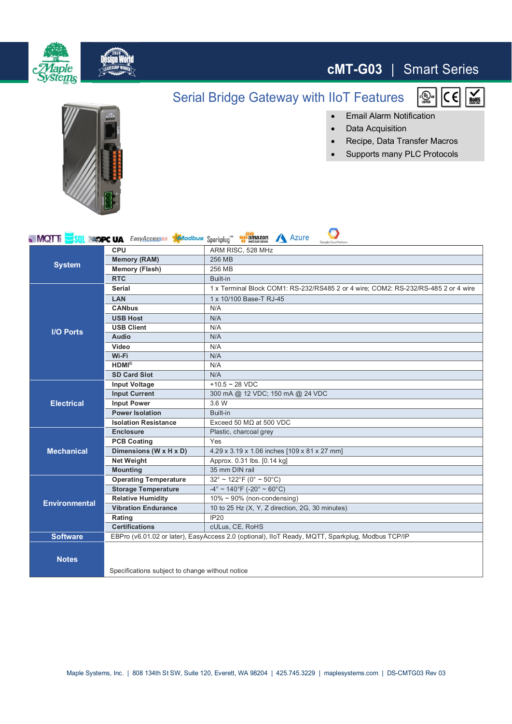

## **cMT-G03** | Smart Series

Serial Bridge Gateway with IIoT Features

 $c$ <sub>LISTED</sub>  $\sum_{\text{COMM}}$  $\overline{\mathsf{C}}$ ∂ Email Alarm Notification



- Data Acquisition
- ∂ Recipe, Data Transfer Macros
- Supports many PLC Protocols

| <b>NOTE</b>          | <b>SQL EXCIPC UA</b> EasyAccess20 <b>AModbus</b> Sparkplug <b>The Commazon</b>                   | Azure<br>Google Cloud Platfo                                                       |
|----------------------|--------------------------------------------------------------------------------------------------|------------------------------------------------------------------------------------|
| <b>System</b>        | <b>CPU</b>                                                                                       | ARM RISC, 528 MHz                                                                  |
|                      | <b>Memory (RAM)</b>                                                                              | 256 MB                                                                             |
|                      | <b>Memory (Flash)</b>                                                                            | 256 MB                                                                             |
|                      | <b>RTC</b>                                                                                       | Built-in                                                                           |
| <b>I/O Ports</b>     | <b>Serial</b>                                                                                    | 1 x Terminal Block COM1: RS-232/RS485 2 or 4 wire; COM2: RS-232/RS-485 2 or 4 wire |
|                      | LAN                                                                                              | 1 x 10/100 Base-T RJ-45                                                            |
|                      | <b>CANbus</b>                                                                                    | N/A                                                                                |
|                      | <b>USB Host</b>                                                                                  | N/A                                                                                |
|                      | <b>USB Client</b>                                                                                | N/A                                                                                |
|                      | Audio                                                                                            | N/A                                                                                |
|                      | Video                                                                                            | N/A                                                                                |
|                      | Wi-Fi                                                                                            | N/A                                                                                |
|                      | $HDMI^{\otimes}$                                                                                 | N/A                                                                                |
|                      | <b>SD Card Slot</b>                                                                              | N/A                                                                                |
| <b>Electrical</b>    | <b>Input Voltage</b>                                                                             | $+10.5 \sim 28$ VDC                                                                |
|                      | <b>Input Current</b>                                                                             | 300 mA @ 12 VDC; 150 mA @ 24 VDC                                                   |
|                      | <b>Input Power</b>                                                                               | 3.6 W                                                                              |
|                      | <b>Power Isolation</b>                                                                           | Built-in                                                                           |
|                      | <b>Isolation Resistance</b>                                                                      | Exceed 50 $M\Omega$ at 500 VDC                                                     |
| <b>Mechanical</b>    | <b>Enclosure</b>                                                                                 | Plastic, charcoal grey                                                             |
|                      | <b>PCB Coating</b>                                                                               | Yes                                                                                |
|                      | Dimensions (W x H x D)                                                                           | 4.29 x 3.19 x 1.06 inches [109 x 81 x 27 mm]                                       |
|                      | <b>Net Weight</b>                                                                                | Approx. 0.31 lbs. [0.14 kg]                                                        |
|                      | <b>Mounting</b>                                                                                  | 35 mm DIN rail                                                                     |
| <b>Environmental</b> | <b>Operating Temperature</b>                                                                     | $32^{\circ}$ ~ 122 $^{\circ}$ F (0 $^{\circ}$ ~ 50 $^{\circ}$ C)                   |
|                      | <b>Storage Temperature</b>                                                                       | $-4^{\circ}$ ~ 140°F (-20° ~ 60°C)                                                 |
|                      | <b>Relative Humidity</b>                                                                         | $10\% \sim 90\%$ (non-condensing)                                                  |
|                      | <b>Vibration Endurance</b>                                                                       | 10 to 25 Hz (X, Y, Z direction, 2G, 30 minutes)                                    |
|                      | Rating                                                                                           | IP20                                                                               |
|                      | <b>Certifications</b>                                                                            | cULus, CE, RoHS                                                                    |
| <b>Software</b>      | EBPro (v6.01.02 or later), EasyAccess 2.0 (optional), IIoT Ready, MQTT, Sparkplug, Modbus TCP/IP |                                                                                    |
| <b>Notes</b>         | Specifications subject to change without notice                                                  |                                                                                    |